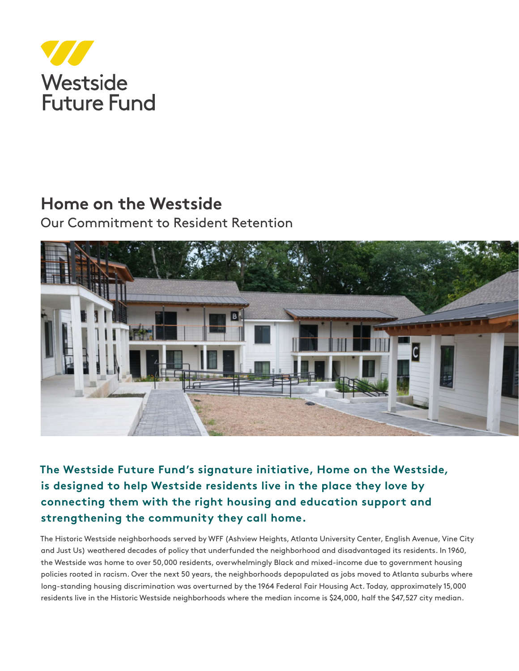

# **Home on the Westside**

Our Commitment to Resident Retention



**The Westside Future Fund's signature initiative, Home on the Westside***,* **is designed to help Westside residents live in the place they love by connecting them with the right housing and education support and strengthening the community they call home.**

The Historic Westside neighborhoods served by WFF (Ashview Heights, Atlanta University Center, English Avenue, Vine City and Just Us) weathered decades of policy that underfunded the neighborhood and disadvantaged its residents. In 1960, the Westside was home to over 50,000 residents, overwhelmingly Black and mixed-income due to government housing policies rooted in racism. Over the next 50 years, the neighborhoods depopulated as jobs moved to Atlanta suburbs where long-standing housing discrimination was overturned by the 1964 Federal Fair Housing Act. Today, approximately 15,000 residents live in the Historic Westside neighborhoods where the median income is \$24,000, half the \$47,527 city median.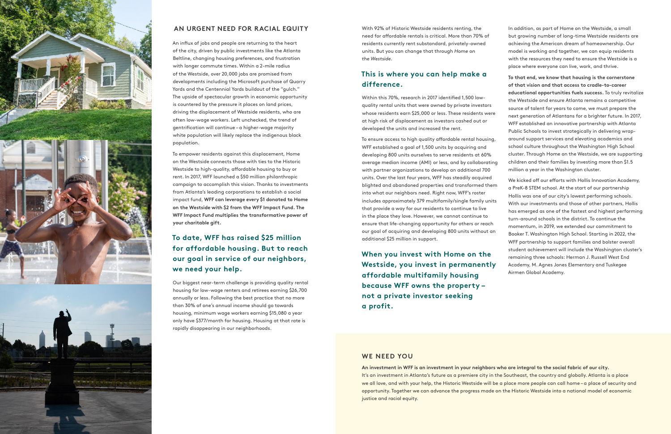

### **AN URGENT NEED FOR RACIAL EQUITY**

An influx of jobs and people are returning to the heart of the city, driven by public investments like the Atlanta Beltline, changing housing preferences, and frustration with longer commute times. Within a 2-mile radius of the Westside, over 20,000 jobs are promised from developments including the Microsoft purchase of Quarry Yards and the Centennial Yards buildout of the "gulch." The upside of spectacular growth in economic opportunity is countered by the pressure it places on land prices, driving the displacement of Westside residents, who are often low-wage workers. Left unchecked, the trend of gentrification will continue – a higher-wage majority white population will likely replace the indigenous black population.

To empower residents against this displacement, Home on the Westside connects those with ties to the Historic Westside to high-quality, affordable housing to buy or rent. In 2017, WFF launched a \$50 million philanthropic campaign to accomplish this vision. Thanks to investments from Atlanta's leading corporations to establish a social impact fund, **WFF can leverage every \$1 donated to Home on the Westside with \$2 from the WFF Impact Fund. The WFF Impact Fund multiplies the transformative power of your charitable gift.**

# **To date, WFF has raised \$25 million for affordable housing. But to reach our goal in service of our neighbors, we need your help.**

Our biggest near-term challenge is providing quality rental housing for low-wage renters and retirees earning \$26,700 annually or less. Following the best practice that no more than 30% of one's annual income should go towards housing, minimum wage workers earning \$15,080 a year only have \$377/month for housing. Housing at that rate is rapidly disappearing in our neighborhoods.

With 92% of Historic Westside residents renting, the need for affordable rentals is critical. More than 70% of residents currently rent substandard, privately-owned units. But you can change that through *Home on the Westside*.

## **This is where you can help make a difference.**

Within this 70%, research in 2017 identified 1,500 lowquality rental units that were owned by private investors whose residents earn \$25,000 or less. These residents were at high risk of displacement as investors cashed out or developed the units and increased the rent.

**When you invest with Home on the Westside, you invest in permanently affordable multifamily housing because WFF owns the property – not a private investor seeking a profit.**

In addition, as part of Home on the Westside, a small but growing number of long-time Westside residents are achieving the American dream of homeownership. Our model is working and together, we can equip residents with the resources they need to ensure the Westside is a place where everyone can live, work, and thrive.

To ensure access to high quality affordable rental housing, WFF established a goal of 1,500 units by acquiring and developing 800 units ourselves to serve residents at 60% average median income (AMI) or less, and by collaborating with partner organizations to develop an additional 700 units. Over the last four years, WFF has steadily acquired blighted and abandoned properties and transformed them into what our neighbors need. Right now, WFF's roster includes approximately 379 multifamily/single family units that provide a way for our residents to continue to live in the place they love. However, we cannot continue to ensure that life-changing opportunity for others or reach our goal of acquiring and developing 800 units without an additional \$25 million in support. school culture throughout the Washington High School children and their families by investing more than \$1.5 million a year in the Washington cluster. We kicked off our efforts with Hollis Innovation Academy, a PreK-8 STEM school. At the start of our partnership Hollis was one of our city's lowest performing schools. With our investments and those of other partners, Hollis has emerged as one of the fastest and highest performing turn-around schools in the district. To continue the momentum, in 2019, we extended our commitment to Booker T. Washington High School. Starting in 2022, the

**To that end, we know that housing is the cornerstone of that vision and that access to cradle-to-career educational opportunities fuels success.** To truly revitalize the Westside and ensure Atlanta remains a competitive source of talent for years to come, we must prepare the next generation of Atlantans for a brighter future. In 2017, WFF established an innovative partnership with Atlanta Public Schools to invest strategically in delivering wraparound support services and elevating academics and cluster. Through Home on the Westside, we are supporting

WFF partnership to support families and bolster overall student achievement will include the Washington cluster's remaining three schools: Herman J. Russell West End Academy, M. Agnes Jones Elementary and Tuskegee Airmen Global Academy.

#### **WE NEED YOU**

**An investment in WFF is an investment in your neighbors who are integral to the social fabric of our city.**  It's an investment in Atlanta's future as a premiere city in the Southeast, the country and globally. Atlanta is a place we all love, and with your help, the Historic Westside will be a place more people can call home – a place of security and opportunity. Together we can advance the progress made on the Historic Westside into a national model of economic justice and racial equity.